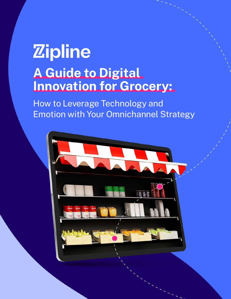## Zipline **A Guide to Digital** Innovation for Grocery:

How to Leverage Technology and Emotion with Your Omnichannel Strategy

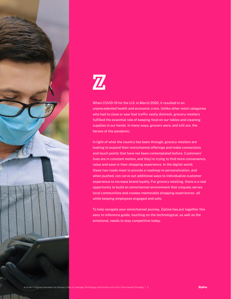

# ${\bf Z}$

When COVID-19 hit the U.S. in March 2020, it resulted in an unprecedented health and economic crisis. Unlike other retail categories who had to close or saw foot traffic vastly diminish, grocery retailers fulfilled the essential role of keeping food on our tables and cleaning supplies in our hands. In many ways, grocers were, and still are, the heroes of the pandemic.

In light of what the country has been through, grocery retailers are looking to expand their omnichannel offerings and make connections and touch points that have not been contemplated before. Customers' lives are in constant motion, and they're trying to find more convenience, value and ease in their shopping experience. In the digital world, these two roads meet to provide a roadmap to personalization, and when pushed, can carve out additional ways to individualize customer experience to increase brand loyalty. For grocery retailing, there is a real opportunity to build an omnichannel environment that uniquely serves local communities and creates memorable shopping experiences - all while keeping employees engaged and safe.

To help navigate your omnichannel journey, Zipline has put together this easy to reference guide, touching on the technological, as well as the emotional, needs to stay competitive today.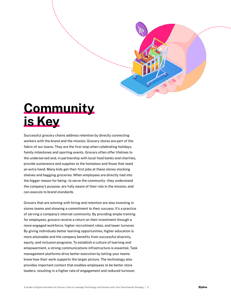

### **Community** is Key

Successful grocery chains address retention by directly connecting workers with the brand and the mission. Grocery stores are part of the fabric of our towns. They are the first stop when celebrating holidays, family milestones and sporting events. Grocers often offer lifelines to the underserved and, in partnership with local food banks and charities, provide sustenance and supplies to the homeless and those that need an extra hand. Many kids get their first jobs at these stores stocking shelves and bagging groceries. When employees are directly tied into the bigger reason for being - to serve the community - they understand the company's purpose, are fully aware of their role in the mission, and can execute to brand standards.

Grocers that are winning with hiring and retention are also investing in stores teams and showing a commitment to their success. It's a practice of serving a company's internal community. By providing ample training for employees, grocers receive a return on their investment through a more engaged workforce, higher recruitment rates, and lower turnover. By giving individuals better learning opportunities, higher education is more attainable and the company benefits from successful diversity, equity, and inclusion programs. To establish a culture of learning and empowerment, a strong communications infrastructure is essential. Task management platforms drive better execution by letting your teams know how their work supports the larger picture. The technology also provides important context that enables employees to be better store leaders, resulting in a higher rate of engagement and reduced turnover.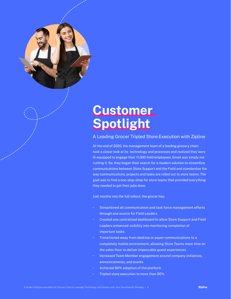

### **Customer Spotlight**

#### A Leading Grocer Tripled Store Execution with Zipline

At the end of 2020, the management team of a leading grocery chain took a closer look at its technology and processes and realized they were ill-equipped to engage their 11,000 field employees. Email was simply not cutting it. So, they began their search for a modern solution to streamline communications between Store Support and the Field and standardize the way communications, projects and tasks are rolled out to store teams. The goal was to find a one-stop-shop for store teams that provided everything they needed to get their jobs done.

Just months into the full rollout, the grocer has:

- Streamlined all communication and task force management efforts through one source for Field Leaders
- Created one centralized dashboard to allow Store Support and Field Leaders enhanced visibility into monitoring completion of important tasks
- Transitioned away from desktop or paper communications to a completely mobile environment, allowing Store Teams more time on the sales floor to deliver impeccable guest experiences
- Increased Team Member engagement around company initiatives, announcements, and events
- Achieved 90% adoption of the platform
- Tripled store execution to more than 90%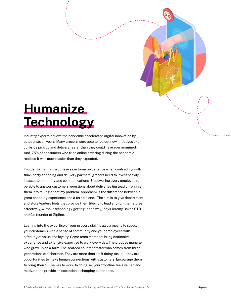### Humanize Technology

Industry experts believe the pandemic accelerated digital innovation by at least seven years. Many grocers were able to roll out new initiatives like curbside pick up and delivery faster than they could have ever imagined. And, 75% of consumers who tried online ordering during the pandemic realized it was much easier than they expected.

In order to maintain a cohesive customer experience when contracting with third-party shopping and delivery partners, grocers need to invest heavily in associate training and communications. Empowering every employee to be able to answer customers' questions about deliveries (instead of forcing them into taking a "not my problem" approach) is the difference between a great shopping experience and a terrible one. "The aim is to give department and store leaders tools that provide them liberty to lead and run their stores effectively, without technology getting in the way," says Jeremy Baker, CTO and Co-founder of Zipline.

Leaning into the expertise of your grocery staff is also a means to supply your customers with a sense of community and your employees with a feeling of value and loyalty. Some team members bring distinctive experience and extensive expertise to work every day. The produce manager who grew up on a farm. The seafood counter staffer who comes from three generations of fishermen. They are more than staff doing tasks — they are opportunities to make human connections with customers. Encourage them to bring their full selves to work. In doing so, your frontline feels valued and motivated to provide an exceptional shopping experience.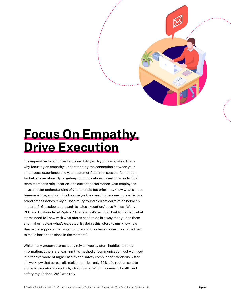

It is imperative to build trust and credibility with your associates. That's why focusing on empathy - understanding the connection between your employees' experience and your customers' desires - sets the foundation for better execution. By targeting communications based on an individual team member's role, location, and current performance, your employees have a better understanding of your brand's top priorities, know what's most time-sensitive, and gain the knowledge they need to become more effective brand ambassadors. "Coyle Hospitality found a direct correlation between a retailer's Glassdoor score and its sales execution," says Melissa Wong, CEO and Co-founder at Zipline. "That's why it's so important to connect what stores need to know with what stores need to do in a way that guides them and makes it clear what's expected. By doing this, store teams know how their work supports the larger picture and they have context to enable them to make better decisions in the moment."

While many grocery stores today rely on weekly store huddles to relay information, others are learning this method of communication just won't cut it in today's world of higher health and safety compliance standards. After all, we know that across all retail industries, only 29% of direction sent to stores is executed correctly by store teams. When it comes to health and safety regulations, 29% won't fly.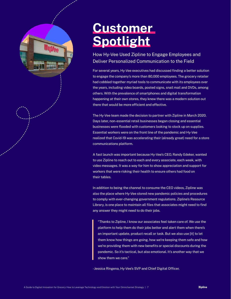### **Customer** Spotlight

#### How Hy-Vee Used Zipline to Engage Employees and Deliver Personalized Communication to the Field

For several years, Hy-Vee executives had discussed finding a better solution to engage the company's more than 80,000 employees. The grocery retailer had cobbled together myriad tools to communicate with its employees over the years, including video boards, posted signs, snail mail and DVDs, among others. With the prevalence of smartphones and digital transformation happening at their own stores, they knew there was a modern solution out there that would be more efficient and effective.

The Hy-Vee team made the decision to partner with Zipline in March 2020. Days later, non-essential retail businesses began closing and essential businesses were flooded with customers looking to stock up on supplies. Essential workers were on the front line of the pandemic and Hy-Vee realized that Covid-19 was accelerating their (already great) need for a store communications platform.

A fast launch was important because Hy-Vee's CEO, Randy Edeker, wanted to use Zipline to reach out to each and every associate, each week, with video messages. It was a way for him to show appreciation and support for workers that were risking their health to ensure others had food on their tables.

In addition to being the channel to consume the CEO videos, Zipline was also the place where Hy-Vee stored new pandemic policies and procedures to comply with ever-changing government regulations. Zipline's Resource Library, is one place to maintain all files that associates might need to find any answer they might need to do their jobs.

"Thanks to Zipline, I know our associates feel taken care of. We use the platform to help them do their jobs better and alert them when there's an important update, product recall or task. But we also use [it] to let them know how things are going, how we're keeping them safe and how we're providing them with new benefits or special discounts during the pandemic. So it's tactical, but also emotional. It's another way that we show them we care."

- Jessica Ringena, Hy-Vee's SVP and Chief Digital Officer.